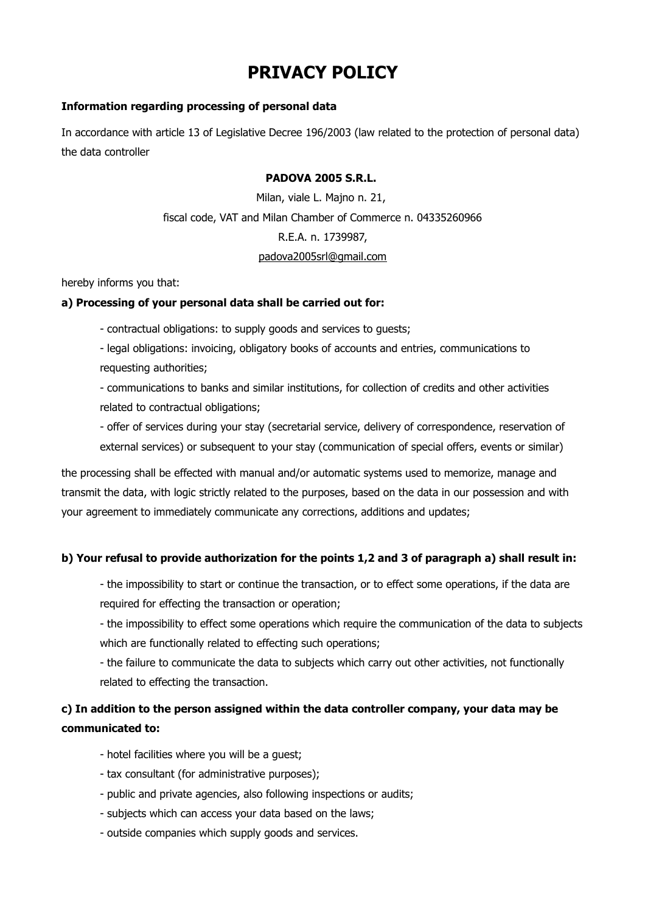# **PRIVACY POLICY**

## **Information regarding processing of personal data**

In accordance with article 13 of Legislative Decree 196/2003 (law related to the protection of personal data) the data controller

#### **PADOVA 2005 S.R.L.**

Milan, viale L. Majno n. 21, fiscal code, VAT and Milan Chamber of Commerce n. 04335260966 R.E.A. n. 1739987, [padova2005srl@gmail.com](mailto:padova2005srl@gmail.com)

hereby informs you that:

#### **a) Processing of your personal data shall be carried out for:**

- contractual obligations: to supply goods and services to guests;

- legal obligations: invoicing, obligatory books of accounts and entries, communications to requesting authorities;

- communications to banks and similar institutions, for collection of credits and other activities related to contractual obligations;

- offer of services during your stay (secretarial service, delivery of correspondence, reservation of external services) or subsequent to your stay (communication of special offers, events or similar)

the processing shall be effected with manual and/or automatic systems used to memorize, manage and transmit the data, with logic strictly related to the purposes, based on the data in our possession and with your agreement to immediately communicate any corrections, additions and updates;

#### **b) Your refusal to provide authorization for the points 1,2 and 3 of paragraph a) shall result in:**

- the impossibility to start or continue the transaction, or to effect some operations, if the data are required for effecting the transaction or operation;

- the impossibility to effect some operations which require the communication of the data to subjects which are functionally related to effecting such operations;

- the failure to communicate the data to subjects which carry out other activities, not functionally related to effecting the transaction.

# **c) In addition to the person assigned within the data controller company, your data may be communicated to:**

- hotel facilities where you will be a guest;
- tax consultant (for administrative purposes);
- public and private agencies, also following inspections or audits;
- subjects which can access your data based on the laws;
- outside companies which supply goods and services.